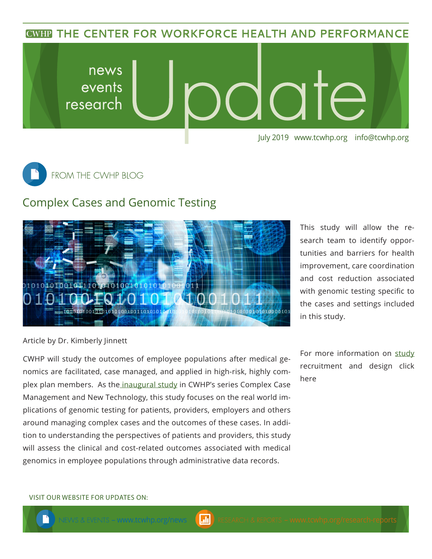**CWHP THE CENTER FOR WORKFORCE HEALTH AND PERFORMANCE** 





## Complex Cases and Genomic Testing



This study will allow the research team to identify opportunities and barriers for health improvement, care coordination and cost reduction associated with genomic testing specific to the cases and settings included in this study.

Article by Dr. Kimberly Jinnett

CWHP will study the outcomes of employee populations after medical genomics are facilitated, case managed, and applied in high-risk, highly complex plan members. As the [inaugural study](https://www.tcwhp.org/complex-case-management-and-new-technology) in CWHP's series Complex Case Management and New Technology, this study focuses on the real world implications of genomic testing for patients, providers, employers and others around managing complex cases and the outcomes of these cases. In addition to understanding the perspectives of patients and providers, this study will assess the clinical and cost-related outcomes associated with medical genomics in employee populations through administrative data records.

For more information on [study](https://www.tcwhp.org/complex-case-management-and-new-technology) recruitment and design click here

## VISIT OUR WEBSITE FOR UPDATES ON: